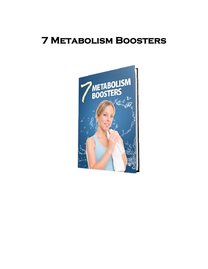# **7 Metabolism Boosters**

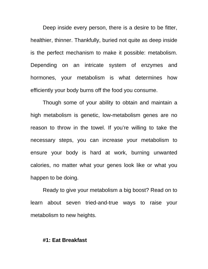Deep inside every person, there is a desire to be fitter, healthier, thinner. Thankfully, buried not quite as deep inside is the perfect mechanism to make it possible: metabolism. Depending on an intricate system of enzymes and hormones, your metabolism is what determines how efficiently your body burns off the food you consume.

Though some of your ability to obtain and maintain a high metabolism is genetic, low-metabolism genes are no reason to throw in the towel. If you're willing to take the necessary steps, you can increase your metabolism to ensure your body is hard at work, burning unwanted calories, no matter what your genes look like or what you happen to be doing.

Ready to give your metabolism a big boost? Read on to learn about seven tried-and-true ways to raise your metabolism to new heights.

## **#1: Eat Breakfast**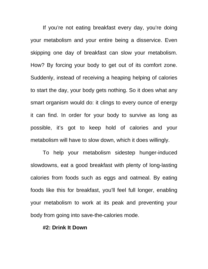If you're not eating breakfast every day, you're doing your metabolism and your entire being a disservice. Even skipping one day of breakfast can slow your metabolism. How? By forcing your body to get out of its comfort zone. Suddenly, instead of receiving a heaping helping of calories to start the day, your body gets nothing. So it does what any smart organism would do: it clings to every ounce of energy it can find. In order for your body to survive as long as possible, it's got to keep hold of calories and your metabolism will have to slow down, which it does willingly.

To help your metabolism sidestep hunger-induced slowdowns, eat a good breakfast with plenty of long-lasting calories from foods such as eggs and oatmeal. By eating foods like this for breakfast, you'll feel full longer, enabling your metabolism to work at its peak and preventing your body from going into save-the-calories mode.

### **#2: Drink It Down**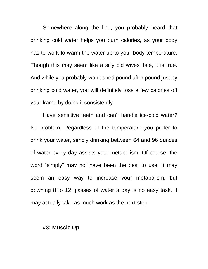Somewhere along the line, you probably heard that drinking cold water helps you burn calories, as your body has to work to warm the water up to your body temperature. Though this may seem like a silly old wives' tale, it is true. And while you probably won't shed pound after pound just by drinking cold water, you will definitely toss a few calories off your frame by doing it consistently.

Have sensitive teeth and can't handle ice-cold water? No problem. Regardless of the temperature you prefer to drink your water, simply drinking between 64 and 96 ounces of water every day assists your metabolism. Of course, the word "simply" may not have been the best to use. It may seem an easy way to increase your metabolism, but downing 8 to 12 glasses of water a day is no easy task. It may actually take as much work as the next step.

#### **#3: Muscle Up**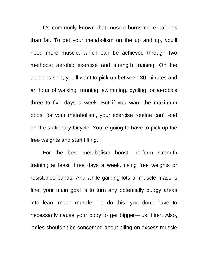It's commonly known that muscle burns more calories than fat. To get your metabolism on the up and up, you'll need more muscle, which can be achieved through two methods: aerobic exercise and strength training. On the aerobics side, you'll want to pick up between 30 minutes and an hour of walking, running, swimming, cycling, or aerobics three to five days a week. But if you want the maximum boost for your metabolism, your exercise routine can't end on the stationary bicycle. You're going to have to pick up the free weights and start lifting.

For the best metabolism boost, perform strength training at least three days a week, using free weights or resistance bands. And while gaining lots of muscle mass is fine, your main goal is to turn any potentially pudgy areas into lean, mean muscle. To do this, you don't have to necessarily cause your body to get bigger—just fitter. Also, ladies shouldn't be concerned about piling on excess muscle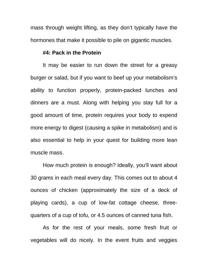mass through weight lifting, as they don't typically have the hormones that make it possible to pile on gigantic muscles.

# **#4: Pack in the Protein**

It may be easier to run down the street for a greasy burger or salad, but if you want to beef up your metabolism's ability to function properly, protein-packed lunches and dinners are a must. Along with helping you stay full for a good amount of time, protein requires your body to expend more energy to digest (causing a spike in metabolism) and is also essential to help in your quest for building more lean muscle mass.

How much protein is enough? Ideally, you'll want about 30 grams in each meal every day. This comes out to about 4 ounces of chicken (approximately the size of a deck of playing cards), a cup of low-fat cottage cheese, threequarters of a cup of tofu, or 4.5 ounces of canned tuna fish.

As for the rest of your meals, some fresh fruit or vegetables will do nicely. In the event fruits and veggies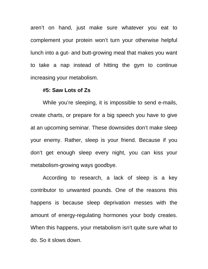aren't on hand, just make sure whatever you eat to complement your protein won't turn your otherwise helpful lunch into a gut- and butt-growing meal that makes you want to take a nap instead of hitting the gym to continue increasing your metabolism.

## **#5: Saw Lots of Zs**

While you're sleeping, it is impossible to send e-mails, create charts, or prepare for a big speech you have to give at an upcoming seminar. These downsides don't make sleep your enemy. Rather, sleep is your friend. Because if you don't get enough sleep every night, you can kiss your metabolism-growing ways goodbye.

According to research, a lack of sleep is a key contributor to unwanted pounds. One of the reasons this happens is because sleep deprivation messes with the amount of energy-regulating hormones your body creates. When this happens, your metabolism isn't quite sure what to do. So it slows down.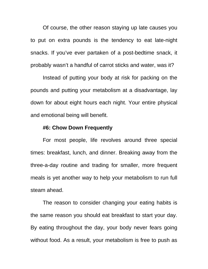Of course, the other reason staying up late causes you to put on extra pounds is the tendency to eat late-night snacks. If you've ever partaken of a post-bedtime snack, it probably wasn't a handful of carrot sticks and water, was it?

Instead of putting your body at risk for packing on the pounds and putting your metabolism at a disadvantage, lay down for about eight hours each night. Your entire physical and emotional being will benefit.

## **#6: Chow Down Frequently**

For most people, life revolves around three special times: breakfast, lunch, and dinner. Breaking away from the three-a-day routine and trading for smaller, more frequent meals is yet another way to help your metabolism to run full steam ahead.

The reason to consider changing your eating habits is the same reason you should eat breakfast to start your day. By eating throughout the day, your body never fears going without food. As a result, your metabolism is free to push as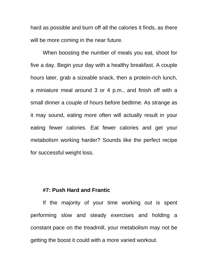hard as possible and burn off all the calories it finds, as there will be more coming in the near future.

When boosting the number of meals you eat, shoot for five a day. Begin your day with a healthy breakfast. A couple hours later, grab a sizeable snack, then a protein-rich lunch, a miniature meal around 3 or 4 p.m., and finish off with a small dinner a couple of hours before bedtime. As strange as it may sound, eating more often will actually result in your eating fewer calories. Eat fewer calories and get your metabolism working harder? Sounds like the perfect recipe for successful weight loss.

## **#7: Push Hard and Frantic**

If the majority of your time working out is spent performing slow and steady exercises and holding a constant pace on the treadmill, your metabolism may not be getting the boost it could with a more varied workout.